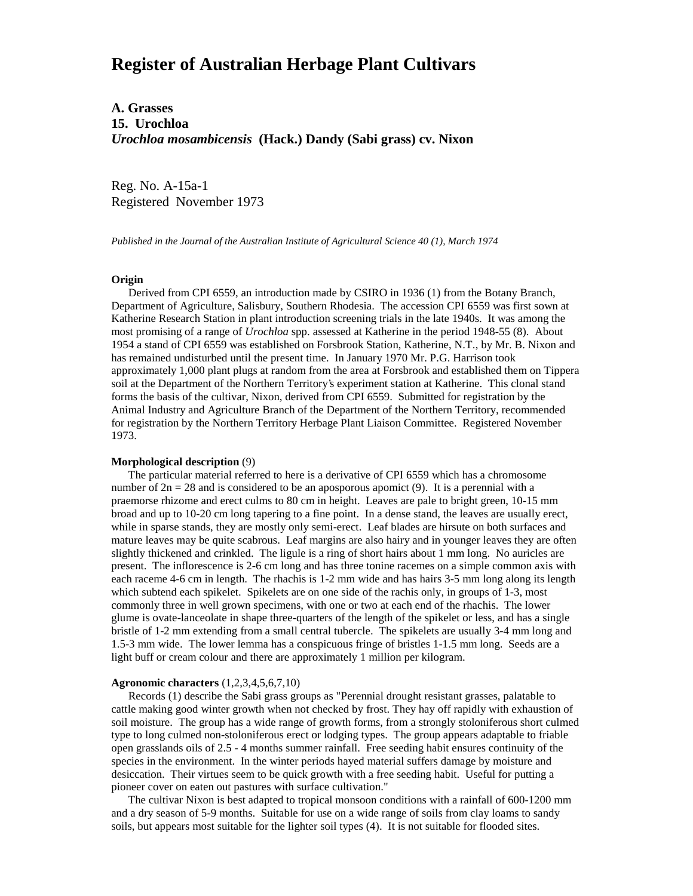# **Register of Australian Herbage Plant Cultivars**

**A. Grasses 15. Urochloa** *Urochloa mosambicensis* **(Hack.) Dandy (Sabi grass) cv. Nixon**

Reg. No. A-15a-1 Registered November 1973

*Published in the Journal of the Australian Institute of Agricultural Science 40 (1), March 1974*

### **Origin**

 Derived from CPI 6559, an introduction made by CSIRO in 1936 (1) from the Botany Branch, Department of Agriculture, Salisbury, Southern Rhodesia. The accession CPI 6559 was first sown at Katherine Research Station in plant introduction screening trials in the late 1940s. It was among the most promising of a range of *Urochloa* spp. assessed at Katherine in the period 1948-55 (8). About 1954 a stand of CPI 6559 was established on Forsbrook Station, Katherine, N.T., by Mr. B. Nixon and has remained undisturbed until the present time. In January 1970 Mr. P.G. Harrison took approximately 1,000 plant plugs at random from the area at Forsbrook and established them on Tippera soil at the Department of the Northern Territory's experiment station at Katherine. This clonal stand forms the basis of the cultivar, Nixon, derived from CPI 6559. Submitted for registration by the Animal Industry and Agriculture Branch of the Department of the Northern Territory, recommended for registration by the Northern Territory Herbage Plant Liaison Committee. Registered November 1973.

#### **Morphological description** (9)

 The particular material referred to here is a derivative of CPI 6559 which has a chromosome number of  $2n = 28$  and is considered to be an aposporous apomict (9). It is a perennial with a praemorse rhizome and erect culms to 80 cm in height. Leaves are pale to bright green, 10-15 mm broad and up to 10-20 cm long tapering to a fine point. In a dense stand, the leaves are usually erect, while in sparse stands, they are mostly only semi-erect. Leaf blades are hirsute on both surfaces and mature leaves may be quite scabrous. Leaf margins are also hairy and in younger leaves they are often slightly thickened and crinkled. The ligule is a ring of short hairs about 1 mm long. No auricles are present. The inflorescence is 2-6 cm long and has three tonine racemes on a simple common axis with each raceme 4-6 cm in length. The rhachis is 1-2 mm wide and has hairs 3-5 mm long along its length which subtend each spikelet. Spikelets are on one side of the rachis only, in groups of 1-3, most commonly three in well grown specimens, with one or two at each end of the rhachis. The lower glume is ovate-lanceolate in shape three-quarters of the length of the spikelet or less, and has a single bristle of 1-2 mm extending from a small central tubercle. The spikelets are usually 3-4 mm long and 1.5-3 mm wide. The lower lemma has a conspicuous fringe of bristles 1-1.5 mm long. Seeds are a light buff or cream colour and there are approximately 1 million per kilogram.

## **Agronomic characters** (1,2,3,4,5,6,7,10)

 Records (1) describe the Sabi grass groups as "Perennial drought resistant grasses, palatable to cattle making good winter growth when not checked by frost. They hay off rapidly with exhaustion of soil moisture. The group has a wide range of growth forms, from a strongly stoloniferous short culmed type to long culmed non-stoloniferous erect or lodging types. The group appears adaptable to friable open grasslands oils of 2.5 - 4 months summer rainfall. Free seeding habit ensures continuity of the species in the environment. In the winter periods hayed material suffers damage by moisture and desiccation. Their virtues seem to be quick growth with a free seeding habit. Useful for putting a pioneer cover on eaten out pastures with surface cultivation."

 The cultivar Nixon is best adapted to tropical monsoon conditions with a rainfall of 600-1200 mm and a dry season of 5-9 months. Suitable for use on a wide range of soils from clay loams to sandy soils, but appears most suitable for the lighter soil types (4). It is not suitable for flooded sites.